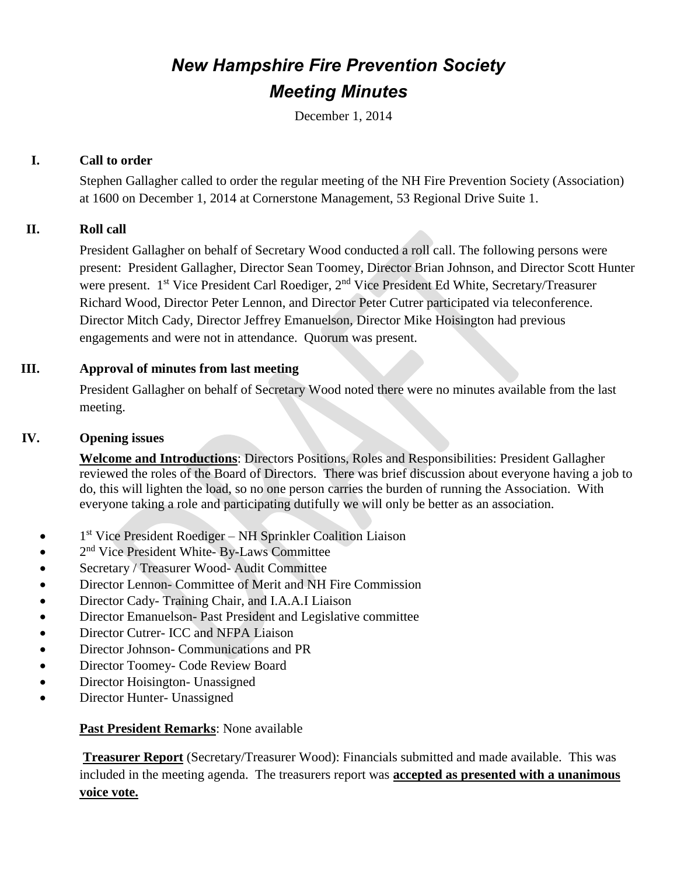### *New Hampshire Fire Prevention Society Meeting Minutes*

December 1, 2014

#### **I. Call to order**

Stephen Gallagher called to order the regular meeting of the NH Fire Prevention Society (Association) at 1600 on December 1, 2014 at Cornerstone Management, 53 Regional Drive Suite 1.

#### **II. Roll call**

 President Gallagher on behalf of Secretary Wood conducted a roll call. The following persons were present: President Gallagher, Director Sean Toomey, Director Brian Johnson, and Director Scott Hunter were present. 1<sup>st</sup> Vice President Carl Roediger, 2<sup>nd</sup> Vice President Ed White, Secretary/Treasurer Richard Wood, Director Peter Lennon, and Director Peter Cutrer participated via teleconference. Director Mitch Cady, Director Jeffrey Emanuelson, Director Mike Hoisington had previous engagements and were not in attendance. Quorum was present.

#### **III. Approval of minutes from last meeting**

 President Gallagher on behalf of Secretary Wood noted there were no minutes available from the last meeting.

#### **IV. Opening issues**

**Welcome and Introductions**: Directors Positions, Roles and Responsibilities: President Gallagher reviewed the roles of the Board of Directors. There was brief discussion about everyone having a job to do, this will lighten the load, so no one person carries the burden of running the Association. With everyone taking a role and participating dutifully we will only be better as an association.

- 1<sup>st</sup> Vice President Roediger NH Sprinkler Coalition Liaison
- 2<sup>nd</sup> Vice President White- By-Laws Committee
- Secretary / Treasurer Wood- Audit Committee
- Director Lennon- Committee of Merit and NH Fire Commission
- Director Cady- Training Chair, and I.A.A.I Liaison
- Director Emanuelson- Past President and Legislative committee
- Director Cutrer- ICC and NFPA Liaison
- Director Johnson- Communications and PR
- Director Toomey- Code Review Board
- Director Hoisington- Unassigned
- Director Hunter- Unassigned

#### **Past President Remarks**: None available

**Treasurer Report** (Secretary/Treasurer Wood): Financials submitted and made available. This was included in the meeting agenda. The treasurers report was **accepted as presented with a unanimous voice vote.**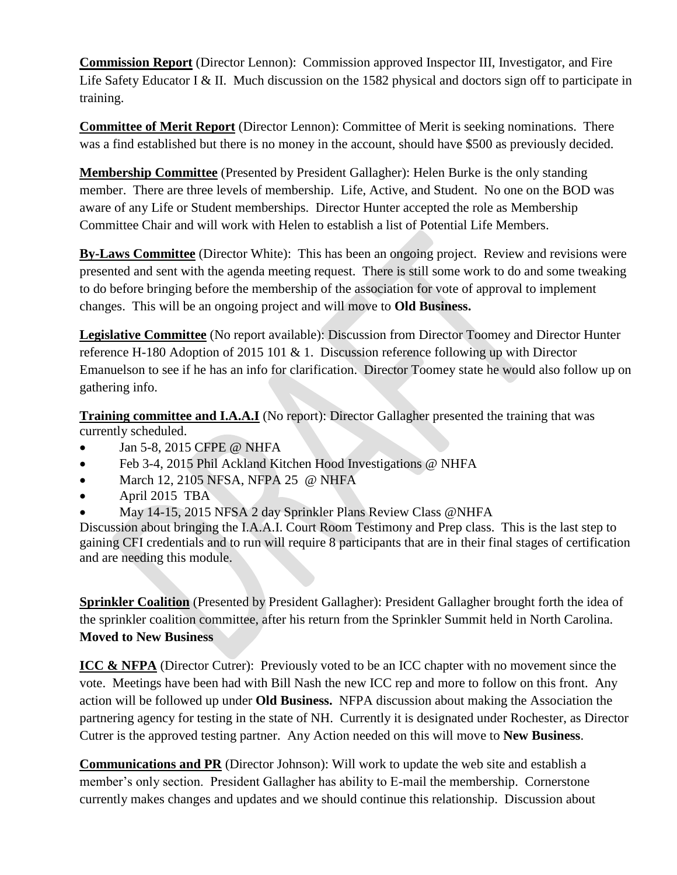**Commission Report** (Director Lennon): Commission approved Inspector III, Investigator, and Fire Life Safety Educator I & II. Much discussion on the 1582 physical and doctors sign off to participate in training.

**Committee of Merit Report** (Director Lennon): Committee of Merit is seeking nominations. There was a find established but there is no money in the account, should have \$500 as previously decided.

**Membership Committee** (Presented by President Gallagher): Helen Burke is the only standing member. There are three levels of membership. Life, Active, and Student. No one on the BOD was aware of any Life or Student memberships. Director Hunter accepted the role as Membership Committee Chair and will work with Helen to establish a list of Potential Life Members.

**By-Laws Committee** (Director White): This has been an ongoing project. Review and revisions were presented and sent with the agenda meeting request. There is still some work to do and some tweaking to do before bringing before the membership of the association for vote of approval to implement changes. This will be an ongoing project and will move to **Old Business.**

**Legislative Committee** (No report available): Discussion from Director Toomey and Director Hunter reference H-180 Adoption of 2015 101 & 1. Discussion reference following up with Director Emanuelson to see if he has an info for clarification. Director Toomey state he would also follow up on gathering info.

**Training committee and I.A.A.I** (No report): Director Gallagher presented the training that was currently scheduled.

- Jan 5-8, 2015 CFPE @ NHFA
- Feb 3-4, 2015 Phil Ackland Kitchen Hood Investigations @ NHFA
- $\bullet$  March 12, 2105 NFSA, NFPA 25 @ NHFA
- April 2015 TBA
- May 14-15, 2015 NFSA 2 day Sprinkler Plans Review Class @NHFA

Discussion about bringing the I.A.A.I. Court Room Testimony and Prep class. This is the last step to gaining CFI credentials and to run will require 8 participants that are in their final stages of certification and are needing this module.

**Sprinkler Coalition** (Presented by President Gallagher): President Gallagher brought forth the idea of the sprinkler coalition committee, after his return from the Sprinkler Summit held in North Carolina. **Moved to New Business**

**ICC & NFPA** (Director Cutrer): Previously voted to be an ICC chapter with no movement since the vote. Meetings have been had with Bill Nash the new ICC rep and more to follow on this front. Any action will be followed up under **Old Business.** NFPA discussion about making the Association the partnering agency for testing in the state of NH. Currently it is designated under Rochester, as Director Cutrer is the approved testing partner. Any Action needed on this will move to **New Business**.

**Communications and PR** (Director Johnson): Will work to update the web site and establish a member's only section. President Gallagher has ability to E-mail the membership. Cornerstone currently makes changes and updates and we should continue this relationship. Discussion about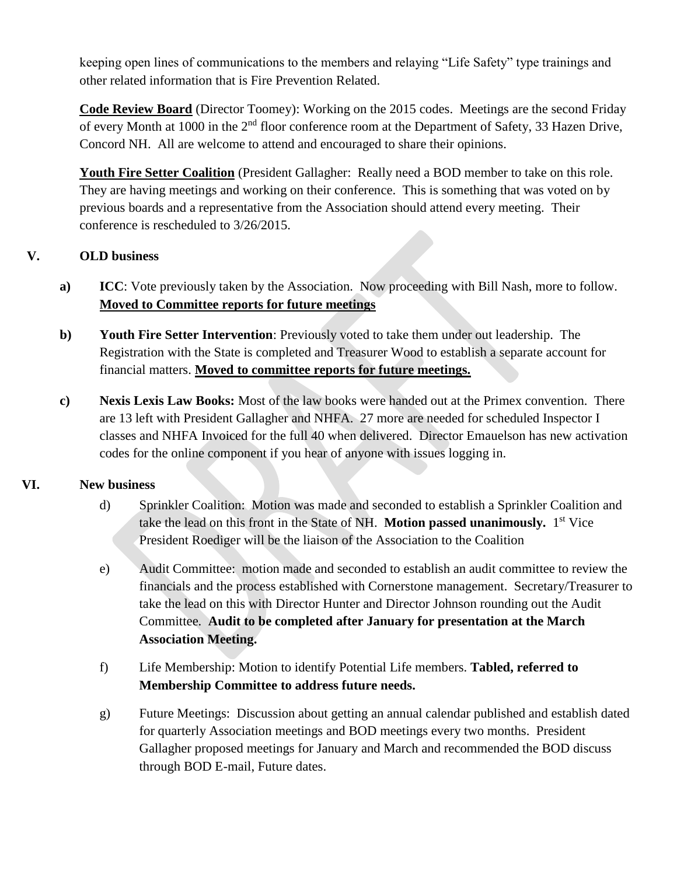keeping open lines of communications to the members and relaying "Life Safety" type trainings and other related information that is Fire Prevention Related.

**Code Review Board** (Director Toomey): Working on the 2015 codes. Meetings are the second Friday of every Month at 1000 in the 2<sup>nd</sup> floor conference room at the Department of Safety, 33 Hazen Drive, Concord NH. All are welcome to attend and encouraged to share their opinions.

**Youth Fire Setter Coalition** (President Gallagher: Really need a BOD member to take on this role. They are having meetings and working on their conference. This is something that was voted on by previous boards and a representative from the Association should attend every meeting. Their conference is rescheduled to 3/26/2015.

#### **V. OLD business**

- **a) ICC**: Vote previously taken by the Association. Now proceeding with Bill Nash, more to follow. **Moved to Committee reports for future meetings**
- **b) Youth Fire Setter Intervention**: Previously voted to take them under out leadership. The Registration with the State is completed and Treasurer Wood to establish a separate account for financial matters. **Moved to committee reports for future meetings.**
- **c) Nexis Lexis Law Books:** Most of the law books were handed out at the Primex convention. There are 13 left with President Gallagher and NHFA. 27 more are needed for scheduled Inspector I classes and NHFA Invoiced for the full 40 when delivered. Director Emauelson has new activation codes for the online component if you hear of anyone with issues logging in.

#### **VI. New business**

- d) Sprinkler Coalition: Motion was made and seconded to establish a Sprinkler Coalition and take the lead on this front in the State of NH. Motion passed unanimously. 1<sup>st</sup> Vice President Roediger will be the liaison of the Association to the Coalition
- e) Audit Committee: motion made and seconded to establish an audit committee to review the financials and the process established with Cornerstone management. Secretary/Treasurer to take the lead on this with Director Hunter and Director Johnson rounding out the Audit Committee. **Audit to be completed after January for presentation at the March Association Meeting.**
- f) Life Membership: Motion to identify Potential Life members. **Tabled, referred to Membership Committee to address future needs.**
- g) Future Meetings: Discussion about getting an annual calendar published and establish dated for quarterly Association meetings and BOD meetings every two months. President Gallagher proposed meetings for January and March and recommended the BOD discuss through BOD E-mail, Future dates.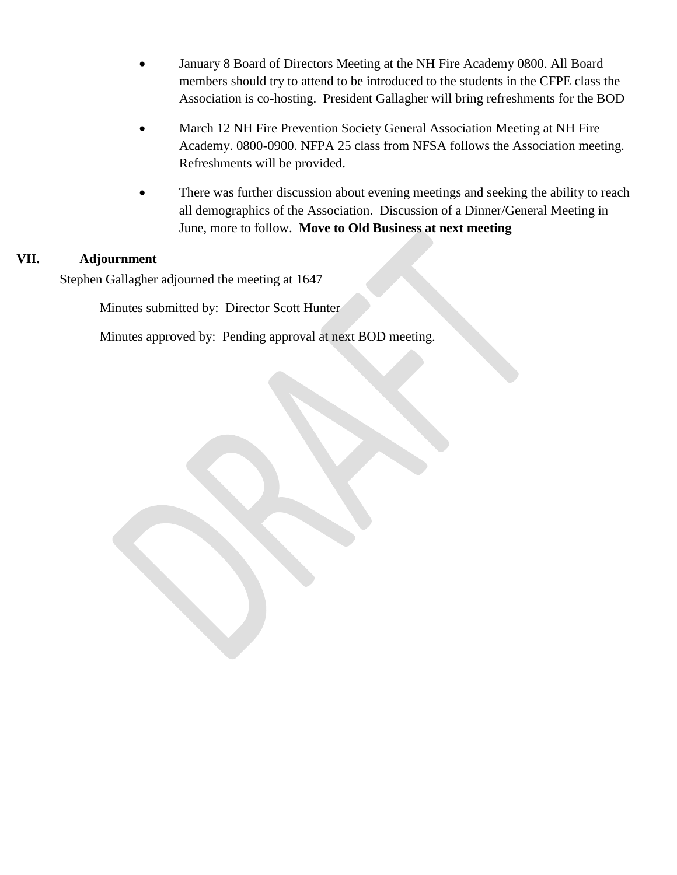- January 8 Board of Directors Meeting at the NH Fire Academy 0800. All Board members should try to attend to be introduced to the students in the CFPE class the Association is co-hosting. President Gallagher will bring refreshments for the BOD
- March 12 NH Fire Prevention Society General Association Meeting at NH Fire Academy. 0800-0900. NFPA 25 class from NFSA follows the Association meeting. Refreshments will be provided.
- There was further discussion about evening meetings and seeking the ability to reach all demographics of the Association. Discussion of a Dinner/General Meeting in June, more to follow. **Move to Old Business at next meeting**

#### **VII. Adjournment**

Stephen Gallagher adjourned the meeting at 1647

Minutes submitted by: Director Scott Hunter

Minutes approved by: Pending approval at next BOD meeting.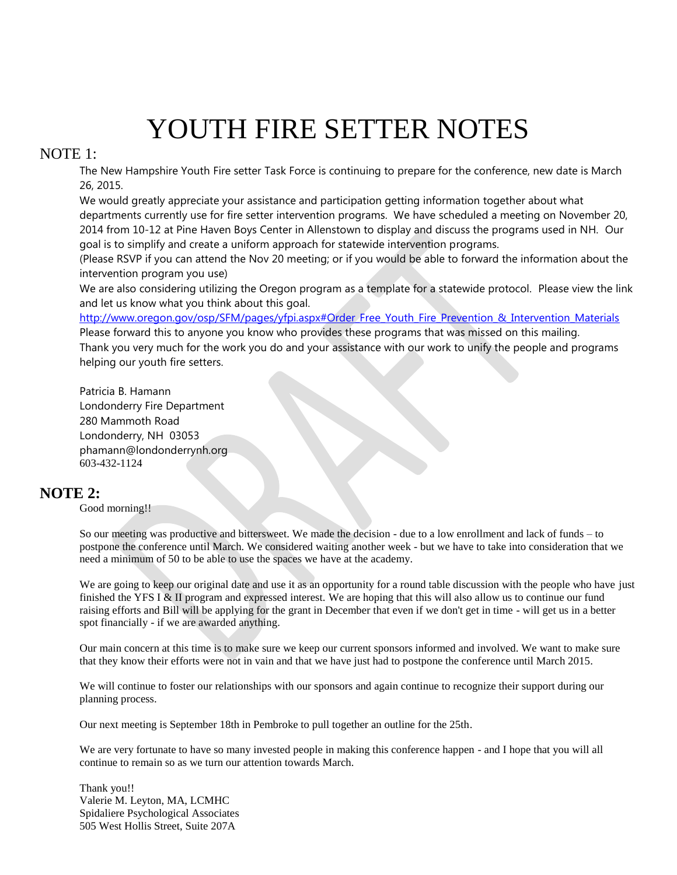# YOUTH FIRE SETTER NOTES

#### NOTE 1:

The New Hampshire Youth Fire setter Task Force is continuing to prepare for the conference, new date is March 26, 2015.

We would greatly appreciate your assistance and participation getting information together about what departments currently use for fire setter intervention programs. We have scheduled a meeting on November 20, 2014 from 10-12 at Pine Haven Boys Center in Allenstown to display and discuss the programs used in NH. Our goal is to simplify and create a uniform approach for statewide intervention programs.

(Please RSVP if you can attend the Nov 20 meeting; or if you would be able to forward the information about the intervention program you use)

We are also considering utilizing the Oregon program as a template for a statewide protocol. Please view the link and let us know what you think about this goal.

[http://www.oregon.gov/osp/SFM/pages/yfpi.aspx#Order\\_Free\\_Youth\\_Fire\\_Prevention\\_&\\_Intervention\\_Materials](https://owa.dos.nh.gov/owa/redir.aspx?C=-0i1vTJRokyzOzsjSksTgRJ1aYXq8NEIBYkaT12JUFtm9Zcu2n69cBz3QQx4uhPxr1j9lLV1gy4.&URL=http%3a%2f%2fwww.oregon.gov%2fosp%2fSFM%2fpages%2fyfpi.aspx%23Order_Free_Youth_Fire_Prevention_%26_Intervention_Materials)

Please forward this to anyone you know who provides these programs that was missed on this mailing. Thank you very much for the work you do and your assistance with our work to unify the people and programs helping our youth fire setters.

Patricia B. Hamann Londonderry Fire Department 280 Mammoth Road Londonderry, NH 03053 phamann@londonderrynh.org 603-432-1124

#### **NOTE 2:**

Good morning!!

So our meeting was productive and bittersweet. We made the decision - due to a low enrollment and lack of funds – to postpone the conference until March. We considered waiting another week - but we have to take into consideration that we need a minimum of 50 to be able to use the spaces we have at the academy.

We are going to keep our original date and use it as an opportunity for a round table discussion with the people who have just finished the YFS I & II program and expressed interest. We are hoping that this will also allow us to continue our fund raising efforts and Bill will be applying for the grant in December that even if we don't get in time - will get us in a better spot financially - if we are awarded anything.

Our main concern at this time is to make sure we keep our current sponsors informed and involved. We want to make sure that they know their efforts were not in vain and that we have just had to postpone the conference until March 2015.

We will continue to foster our relationships with our sponsors and again continue to recognize their support during our planning process.

Our next meeting is September 18th in Pembroke to pull together an outline for the 25th.

We are very fortunate to have so many invested people in making this conference happen - and I hope that you will all continue to remain so as we turn our attention towards March.

Thank you!! Valerie M. Leyton, MA, LCMHC Spidaliere Psychological Associates 505 West Hollis Street, Suite 207A